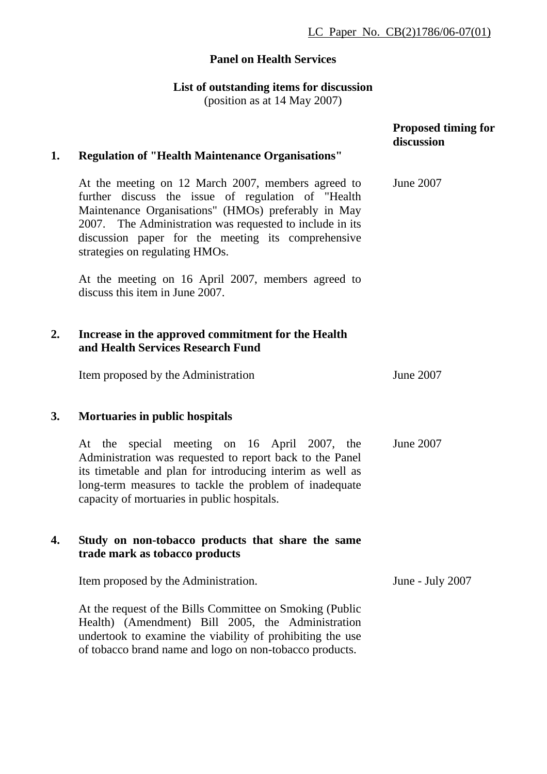## **Panel on Health Services**

## **List of outstanding items for discussion**  (position as at 14 May 2007)

| 1. | <b>Regulation of "Health Maintenance Organisations"</b>                                                                                                                                                                                                                                                             | <b>Proposed timing for</b><br>discussion |
|----|---------------------------------------------------------------------------------------------------------------------------------------------------------------------------------------------------------------------------------------------------------------------------------------------------------------------|------------------------------------------|
|    | At the meeting on 12 March 2007, members agreed to<br>further discuss the issue of regulation of "Health<br>Maintenance Organisations" (HMOs) preferably in May<br>2007. The Administration was requested to include in its<br>discussion paper for the meeting its comprehensive<br>strategies on regulating HMOs. | June 2007                                |
|    | At the meeting on 16 April 2007, members agreed to<br>discuss this item in June 2007.                                                                                                                                                                                                                               |                                          |
| 2. | Increase in the approved commitment for the Health<br>and Health Services Research Fund                                                                                                                                                                                                                             |                                          |
|    | Item proposed by the Administration                                                                                                                                                                                                                                                                                 | June 2007                                |
| 3. | Mortuaries in public hospitals                                                                                                                                                                                                                                                                                      |                                          |
|    | At the special meeting on 16 April 2007, the<br>Administration was requested to report back to the Panel<br>its timetable and plan for introducing interim as well as<br>long-term measures to tackle the problem of inadequate<br>capacity of mortuaries in public hospitals.                                      | June 2007                                |
| 4. | Study on non-tobacco products that share the same<br>trade mark as tobacco products                                                                                                                                                                                                                                 |                                          |
|    | Item proposed by the Administration.                                                                                                                                                                                                                                                                                | June - July 2007                         |
|    | At the request of the Bills Committee on Smoking (Public<br>Health) (Amendment) Bill 2005, the Administration<br>undertook to examine the viability of prohibiting the use<br>of tobacco brand name and logo on non-tobacco products.                                                                               |                                          |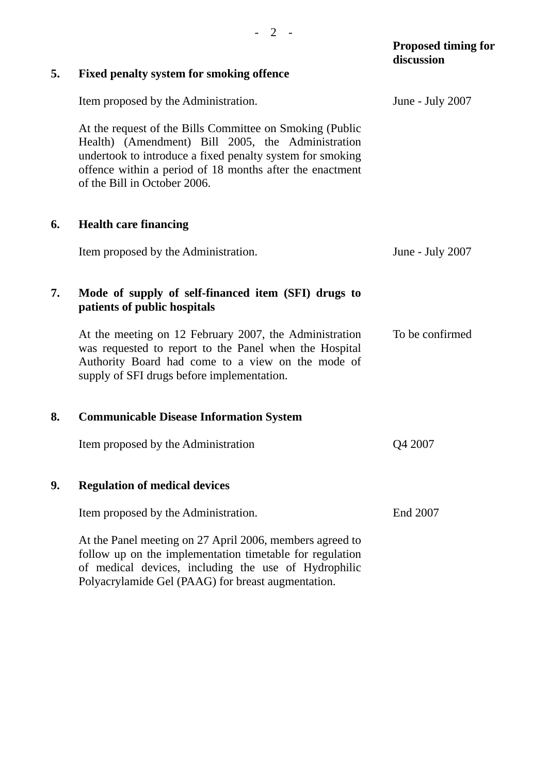| 5. | <b>Fixed penalty system for smoking offence</b>                                                                                                                                                                                                                        | discussion       |
|----|------------------------------------------------------------------------------------------------------------------------------------------------------------------------------------------------------------------------------------------------------------------------|------------------|
|    | Item proposed by the Administration.                                                                                                                                                                                                                                   | June - July 2007 |
|    | At the request of the Bills Committee on Smoking (Public<br>Health) (Amendment) Bill 2005, the Administration<br>undertook to introduce a fixed penalty system for smoking<br>offence within a period of 18 months after the enactment<br>of the Bill in October 2006. |                  |
| 6. | <b>Health care financing</b>                                                                                                                                                                                                                                           |                  |
|    | Item proposed by the Administration.                                                                                                                                                                                                                                   | June - July 2007 |
| 7. | Mode of supply of self-financed item (SFI) drugs to<br>patients of public hospitals                                                                                                                                                                                    |                  |
|    | At the meeting on 12 February 2007, the Administration<br>was requested to report to the Panel when the Hospital<br>Authority Board had come to a view on the mode of<br>supply of SFI drugs before implementation.                                                    | To be confirmed  |
| 8. | <b>Communicable Disease Information System</b>                                                                                                                                                                                                                         |                  |
|    | Item proposed by the Administration                                                                                                                                                                                                                                    | Q4 2007          |
| 9. | <b>Regulation of medical devices</b>                                                                                                                                                                                                                                   |                  |
|    | Item proposed by the Administration.                                                                                                                                                                                                                                   | End 2007         |
|    | At the Panel meeting on 27 April 2006, members agreed to<br>follow up on the implementation timetable for regulation<br>of medical devices, including the use of Hydrophilic<br>Polyacrylamide Gel (PAAG) for breast augmentation.                                     |                  |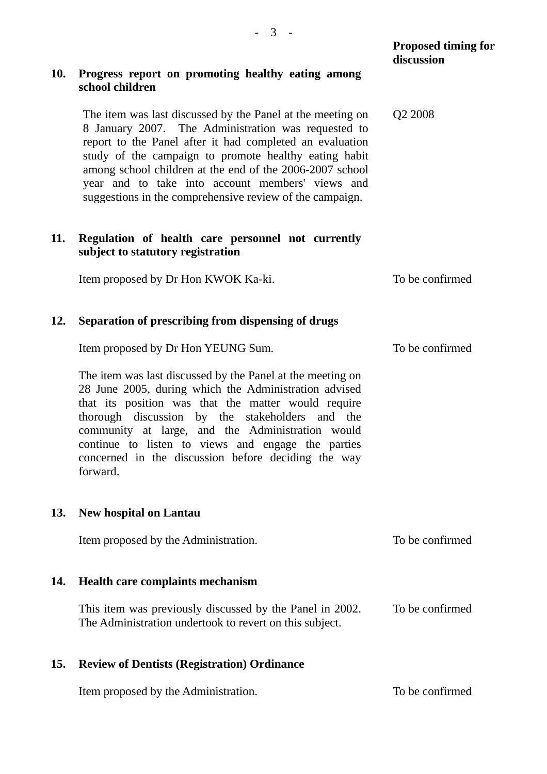|     |                                                                                                                                                                                                                                                                                                                                                                                                                    | <b>Proposed timing for</b><br>discussion |
|-----|--------------------------------------------------------------------------------------------------------------------------------------------------------------------------------------------------------------------------------------------------------------------------------------------------------------------------------------------------------------------------------------------------------------------|------------------------------------------|
| 10. | Progress report on promoting healthy eating among<br>school children                                                                                                                                                                                                                                                                                                                                               |                                          |
|     | The item was last discussed by the Panel at the meeting on<br>8 January 2007. The Administration was requested to<br>report to the Panel after it had completed an evaluation<br>study of the campaign to promote healthy eating habit<br>among school children at the end of the 2006-2007 school<br>year and to take into account members' views and<br>suggestions in the comprehensive review of the campaign. | Q <sub>2</sub> 2008                      |
| 11. | Regulation of health care personnel not currently<br>subject to statutory registration                                                                                                                                                                                                                                                                                                                             |                                          |
|     | Item proposed by Dr Hon KWOK Ka-ki.                                                                                                                                                                                                                                                                                                                                                                                | To be confirmed                          |
| 12. | Separation of prescribing from dispensing of drugs                                                                                                                                                                                                                                                                                                                                                                 |                                          |
|     | Item proposed by Dr Hon YEUNG Sum.                                                                                                                                                                                                                                                                                                                                                                                 | To be confirmed                          |
|     | The item was last discussed by the Panel at the meeting on<br>28 June 2005, during which the Administration advised<br>that its position was that the matter would require<br>thorough discussion by the stakeholders and the<br>community at large, and the Administration would<br>continue to listen to views and engage the parties<br>concerned in the discussion before deciding the way<br>forward.         |                                          |
| 13. | <b>New hospital on Lantau</b>                                                                                                                                                                                                                                                                                                                                                                                      |                                          |
|     | Item proposed by the Administration.                                                                                                                                                                                                                                                                                                                                                                               | To be confirmed                          |
| 14. | <b>Health care complaints mechanism</b>                                                                                                                                                                                                                                                                                                                                                                            |                                          |
|     | This item was previously discussed by the Panel in 2002.<br>The Administration undertook to revert on this subject.                                                                                                                                                                                                                                                                                                | To be confirmed                          |
| 15. | <b>Review of Dentists (Registration) Ordinance</b>                                                                                                                                                                                                                                                                                                                                                                 |                                          |
|     | Item proposed by the Administration.                                                                                                                                                                                                                                                                                                                                                                               | To be confirmed                          |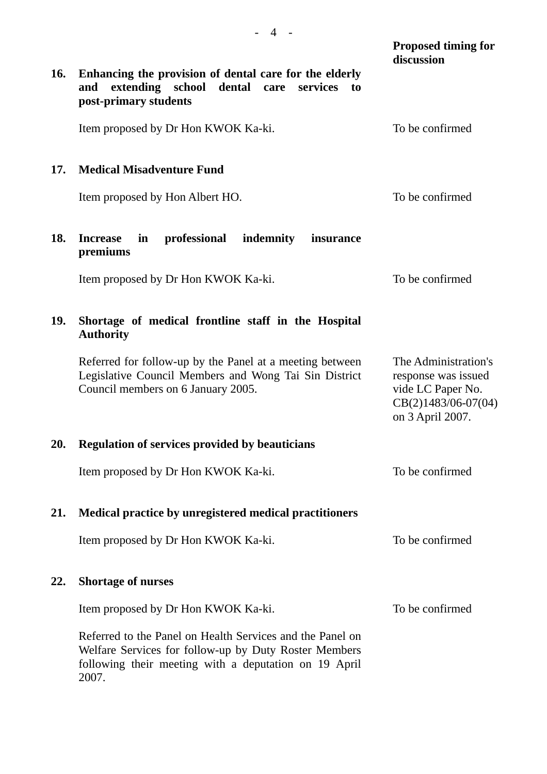|            |                                                                                                                                                                                      | <b>Proposed timing for</b><br>discussion                                                                      |
|------------|--------------------------------------------------------------------------------------------------------------------------------------------------------------------------------------|---------------------------------------------------------------------------------------------------------------|
| <b>16.</b> | Enhancing the provision of dental care for the elderly<br>extending school<br>dental<br>and<br>care<br>services<br>to<br>post-primary students                                       |                                                                                                               |
|            | Item proposed by Dr Hon KWOK Ka-ki.                                                                                                                                                  | To be confirmed                                                                                               |
| 17.        | <b>Medical Misadventure Fund</b>                                                                                                                                                     |                                                                                                               |
|            | Item proposed by Hon Albert HO.                                                                                                                                                      | To be confirmed                                                                                               |
| 18.        | professional<br>indemnity<br><b>Increase</b><br>in<br>insurance<br>premiums                                                                                                          |                                                                                                               |
|            | Item proposed by Dr Hon KWOK Ka-ki.                                                                                                                                                  | To be confirmed                                                                                               |
| 19.        | Shortage of medical frontline staff in the Hospital<br><b>Authority</b>                                                                                                              |                                                                                                               |
|            | Referred for follow-up by the Panel at a meeting between<br>Legislative Council Members and Wong Tai Sin District<br>Council members on 6 January 2005.                              | The Administration's<br>response was issued<br>vide LC Paper No.<br>$CB(2)1483/06-07(04)$<br>on 3 April 2007. |
| 20.        | <b>Regulation of services provided by beauticians</b>                                                                                                                                |                                                                                                               |
|            | Item proposed by Dr Hon KWOK Ka-ki.                                                                                                                                                  | To be confirmed                                                                                               |
| 21.        | Medical practice by unregistered medical practitioners                                                                                                                               |                                                                                                               |
|            | Item proposed by Dr Hon KWOK Ka-ki.                                                                                                                                                  | To be confirmed                                                                                               |
| 22.        | <b>Shortage of nurses</b>                                                                                                                                                            |                                                                                                               |
|            | Item proposed by Dr Hon KWOK Ka-ki.                                                                                                                                                  | To be confirmed                                                                                               |
|            | Referred to the Panel on Health Services and the Panel on<br>Welfare Services for follow-up by Duty Roster Members<br>following their meeting with a deputation on 19 April<br>2007. |                                                                                                               |